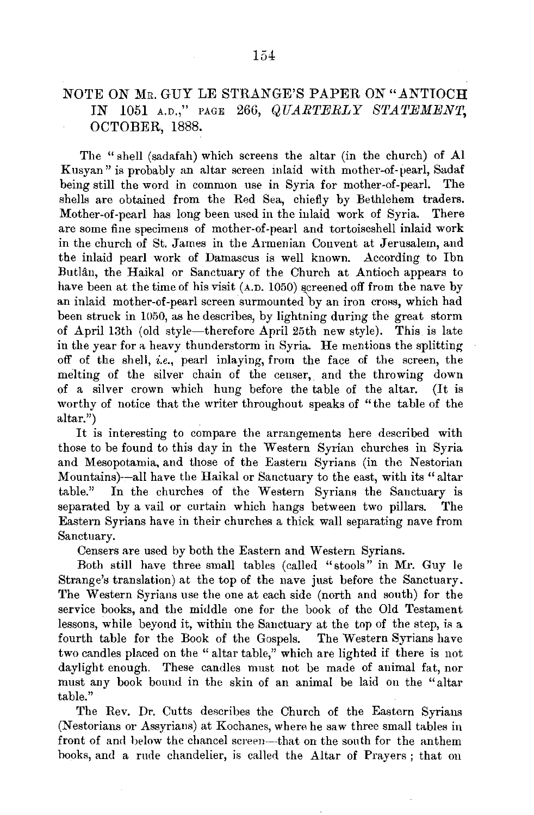## NOTE ON MR. GUY LE STRANGE'S PAPER ON "ANTIOCH" IN 1051 A.D.," PAGE 266, *QUARTERLY STATEMENT,*  OCTOBER, 1888.

The "shell (sadafah) which screens the altar (in the church) of Al Kusyan" is probably an altar screen inlaid with mother-of-pearl, Sadaf being still the word in common use in Syria for mother-of-pearl. The shells are obtained from the Red Sea, chiefly by Bethlehem traders. Mother-of-pearl has long been used in the inlaid work of Syria. There are some fine specimens of mother-of-pearl and tortoiseshell inlaid work in the church of St. James in the Armenian Convent at Jerusalem, and the inlaid pearl work of Damascus is well known. According to Ibn Butlân, the Haikal or Sanctuary of the Church at Antioch appears to have been at the time of his visit (A.D. 1050) screened off from the nave by an inlaid mother-of-pearl screen surmounted by an iron cross, which had been struck in 1050, as he describes, by lightning during the great storm of April 13th (old style-therefore April 25th new style). This is late in the year for a heavy thunderstorm in Syria. He mentions the splitting off of the shell, *i.e.,* peat! inlaying, from the face of the screen, the melting of the silver chain of the censer, and the throwing down of a silver crown which hung before the table of the altar. (It is worthy of notice that the writer throughout speaks of "the table of the altar.")

It is interesting to compare the arrangements here described with those to be found to this day in the Western Syrian churches in Syria and Mesopotamia, and those of the Eastern Syrians (in the Nestorian Mountains)--all have the Haikal or Sanctuary to the east, with its "altar table." In the churches of the Western Syrians the Sanctuary is separated by avail or curtain which hangs between two pillars. The Eastern Syrians have in their churches a thick wall separating nave from Sanctuary.

Censers are used by both the Eastern and Western Syrians.

Both still have three small tables (called "stools" in Mr. Guy le Strange's translation) at the top of the nave just before the Sanctuary. The Western Syrians use the one at each side (north and south) for the service books, and the middle one for the book of the Old Testament lessons, while beyond it, within the Sanctuary at the top of the step, is a fourth table for the Book of the Gospels. The Western Syrians have two candles placed on the "altar table," which are lighted if there is not daylight enough. These candles must not be made of animal fat, nor must any book bound in the skin of an animal be laid on the "altar table."

The Rev. Dr. Cutts describes the Church of the Eastern Syrians (Nestorians or Assyrians) at Kochanes, where he saw three small tables in front of and below the chancel screen-that on the south for the anthem hooks, and a rude chandelier, is called the Altar of Prayers ; that on